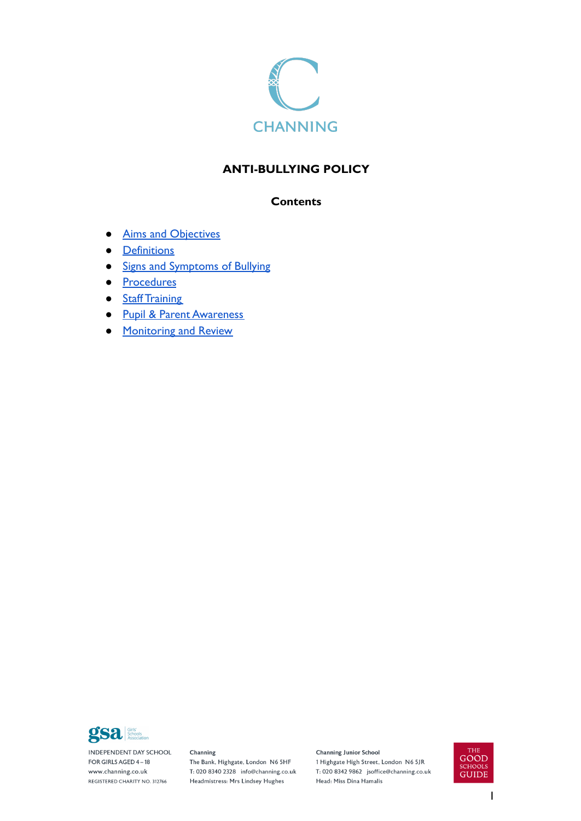

# **ANTI-BULLYING POLICY**

#### **Contents**

- [Aims and Objectives](#page-1-0)
- [Definitions](#page-2-0)
- [Signs and Symptoms of Bullying](#page-2-1)
- [Procedures](#page-3-0)
- [Staff Training](#page-4-0)
- [Pupil & Parent Awareness](#page-4-1)
- **[Monitoring and Review](#page-4-2)**



**INDEPENDENT DAY SCHOOL** FOR GIRLS AGED 4-18 www.channing.co.uk REGISTERED CHARITY NO. 312766

Channing The Bank, Highgate, London N6 5HF T: 020 8340 2328 info@channing.co.uk Headmistress: Mrs Lindsey Hughes

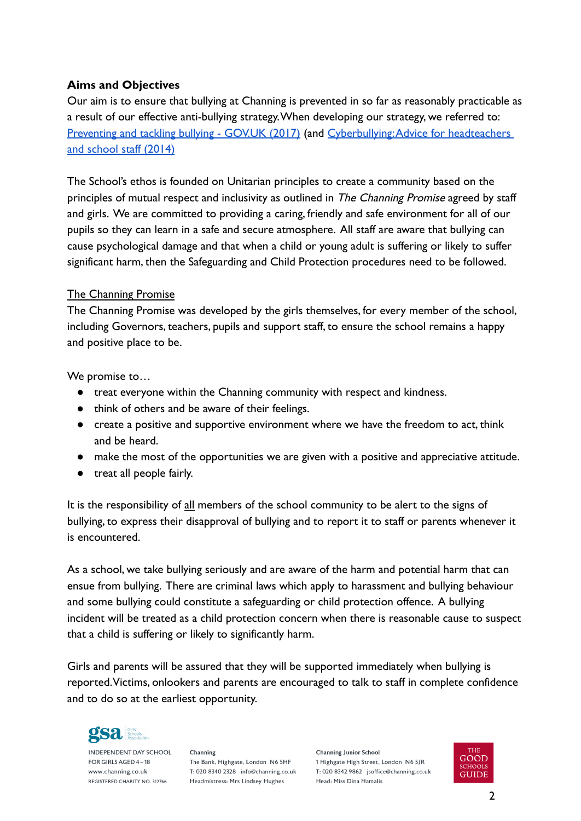# <span id="page-1-0"></span>**Aims and Objectives**

Our aim is to ensure that bullying at Channing is prevented in so far as reasonably practicable as a result of our effective anti-bullying strategy.When developing our strategy, we referred to: [Preventing and tackling bullying - GOV.UK \(2017\)](https://www.gov.uk/government/publications/preventing-and-tackling-bullying) (and [Cyberbullying:Advice for headteachers](https://assets.publishing.service.gov.uk/government/uploads/system/uploads/attachment_data/file/1069987/Cyberbullying_Advice_for_Headteachers_and_School_Staff_121114.pdf) [and school staff \(2014\)](https://assets.publishing.service.gov.uk/government/uploads/system/uploads/attachment_data/file/1069987/Cyberbullying_Advice_for_Headteachers_and_School_Staff_121114.pdf)

The School's ethos is founded on Unitarian principles to create a community based on the principles of mutual respect and inclusivity as outlined in The Channing Promise agreed by staff and girls. We are committed to providing a caring, friendly and safe environment for all of our pupils so they can learn in a safe and secure atmosphere. All staff are aware that bullying can cause psychological damage and that when a child or young adult is suffering or likely to suffer significant harm, then the Safeguarding and Child Protection procedures need to be followed.

### The Channing Promise

The Channing Promise was developed by the girls themselves, for every member of the school, including Governors, teachers, pupils and support staff, to ensure the school remains a happy and positive place to be.

We promise to…

- treat everyone within the Channing community with respect and kindness.
- think of others and be aware of their feelings.
- create a positive and supportive environment where we have the freedom to act, think and be heard.
- make the most of the opportunities we are given with a positive and appreciative attitude.
- treat all people fairly.

It is the responsibility of all members of the school community to be alert to the signs of bullying, to express their disapproval of bullying and to report it to staff or parents whenever it is encountered.

As a school, we take bullying seriously and are aware of the harm and potential harm that can ensue from bullying. There are criminal laws which apply to harassment and bullying behaviour and some bullying could constitute a safeguarding or child protection offence. A bullying incident will be treated as a child protection concern when there is reasonable cause to suspect that a child is suffering or likely to significantly harm.

Girls and parents will be assured that they will be supported immediately when bullying is reported.Victims, onlookers and parents are encouraged to talk to staff in complete confidence and to do so at the earliest opportunity.



**INDEPENDENT DAY SCHOOL** FOR GIRLS AGED 4-18 www.channing.co.uk **REGISTERED CHARITY NO. 312766** 

Channing The Bank, Highgate, London N6 5HF T: 020 8340 2328 info@channing.co.uk Headmistress: Mrs Lindsey Hughes

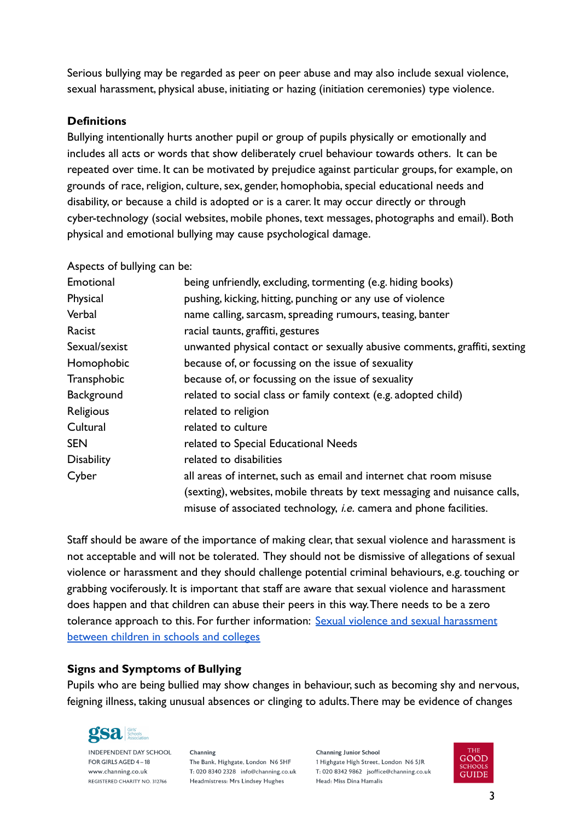Serious bullying may be regarded as peer on peer abuse and may also include sexual violence, sexual harassment, physical abuse, initiating or hazing (initiation ceremonies) type violence.

### <span id="page-2-0"></span>**Definitions**

Bullying intentionally hurts another pupil or group of pupils physically or emotionally and includes all acts or words that show deliberately cruel behaviour towards others. It can be repeated over time. It can be motivated by prejudice against particular groups, for example, on grounds of race, religion, culture, sex, gender, homophobia, special educational needs and disability, or because a child is adopted or is a carer. It may occur directly or through cyber-technology (social websites, mobile phones, text messages, photographs and email). Both physical and emotional bullying may cause psychological damage.

Aspects of bullying can be:

| Emotional         | being unfriendly, excluding, tormenting (e.g. hiding books)               |
|-------------------|---------------------------------------------------------------------------|
| Physical          | pushing, kicking, hitting, punching or any use of violence                |
| Verbal            | name calling, sarcasm, spreading rumours, teasing, banter                 |
| Racist            | racial taunts, graffiti, gestures                                         |
| Sexual/sexist     | unwanted physical contact or sexually abusive comments, graffiti, sexting |
| Homophobic        | because of, or focussing on the issue of sexuality                        |
| Transphobic       | because of, or focussing on the issue of sexuality                        |
| Background        | related to social class or family context (e.g. adopted child)            |
| Religious         | related to religion                                                       |
| Cultural          | related to culture                                                        |
| <b>SEN</b>        | related to Special Educational Needs                                      |
| <b>Disability</b> | related to disabilities                                                   |
| Cyber             | all areas of internet, such as email and internet chat room misuse        |
|                   | (sexting), websites, mobile threats by text messaging and nuisance calls, |
|                   | misuse of associated technology, <i>i.e.</i> camera and phone facilities. |

Staff should be aware of the importance of making clear, that sexual violence and harassment is not acceptable and will not be tolerated. They should not be dismissive of allegations of sexual violence or harassment and they should challenge potential criminal behaviours, e.g. touching or grabbing vociferously. It is important that staff are aware that sexual violence and harassment does happen and that children can abuse their peers in this way.There needs to be a zero tolerance approach to this. For further information: [Sexual violence and sexual harassment](https://assets.publishing.service.gov.uk/government/uploads/system/uploads/attachment_data/file/1014224/Sexual_violence_and_sexual_harassment_between_children_in_schools_and_colleges.pdf) [between children in schools and colleges](https://assets.publishing.service.gov.uk/government/uploads/system/uploads/attachment_data/file/1014224/Sexual_violence_and_sexual_harassment_between_children_in_schools_and_colleges.pdf)

### <span id="page-2-1"></span>**Signs and Symptoms of Bullying**

Pupils who are being bullied may show changes in behaviour, such as becoming shy and nervous, feigning illness, taking unusual absences or clinging to adults.There may be evidence of changes



**INDEPENDENT DAY SCHOOL** FOR GIRLS AGED 4-18 www.channing.co.uk **REGISTERED CHARITY NO. 312766** 

Channing The Bank, Highgate, London N6 5HF T: 020 8340 2328 info@channing.co.uk Headmistress: Mrs Lindsey Hughes

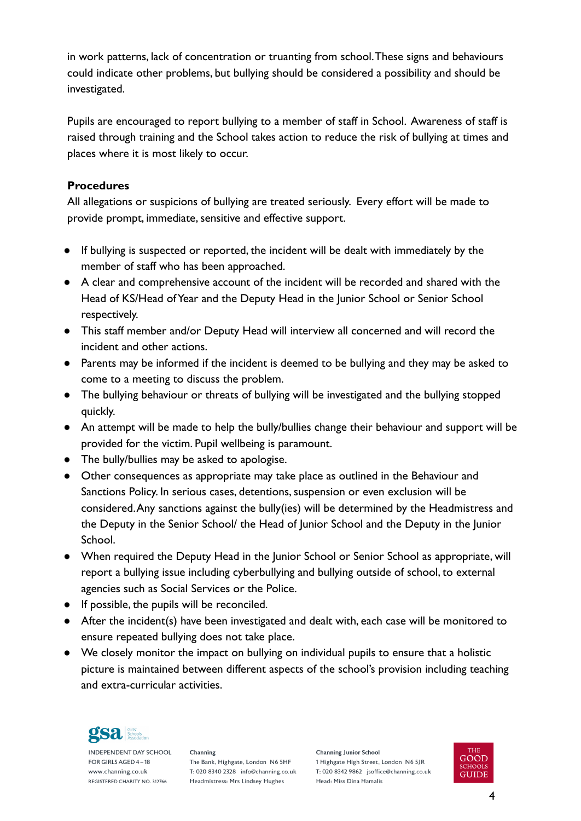in work patterns, lack of concentration or truanting from school.These signs and behaviours could indicate other problems, but bullying should be considered a possibility and should be investigated.

Pupils are encouraged to report bullying to a member of staff in School. Awareness of staff is raised through training and the School takes action to reduce the risk of bullying at times and places where it is most likely to occur.

### <span id="page-3-0"></span>**Procedures**

All allegations or suspicions of bullying are treated seriously. Every effort will be made to provide prompt, immediate, sensitive and effective support.

- If bullying is suspected or reported, the incident will be dealt with immediately by the member of staff who has been approached.
- A clear and comprehensive account of the incident will be recorded and shared with the Head of KS/Head of Year and the Deputy Head in the Junior School or Senior School respectively.
- This staff member and/or Deputy Head will interview all concerned and will record the incident and other actions.
- Parents may be informed if the incident is deemed to be bullying and they may be asked to come to a meeting to discuss the problem.
- The bullying behaviour or threats of bullying will be investigated and the bullying stopped quickly.
- An attempt will be made to help the bully/bullies change their behaviour and support will be provided for the victim. Pupil wellbeing is paramount.
- The bully/bullies may be asked to apologise.
- Other consequences as appropriate may take place as outlined in the Behaviour and Sanctions Policy. In serious cases, detentions, suspension or even exclusion will be considered.Any sanctions against the bully(ies) will be determined by the Headmistress and the Deputy in the Senior School/ the Head of Junior School and the Deputy in the Junior School.
- When required the Deputy Head in the Junior School or Senior School as appropriate, will report a bullying issue including cyberbullying and bullying outside of school, to external agencies such as Social Services or the Police.
- If possible, the pupils will be reconciled.
- After the incident(s) have been investigated and dealt with, each case will be monitored to ensure repeated bullying does not take place.
- We closely monitor the impact on bullying on individual pupils to ensure that a holistic picture is maintained between different aspects of the school's provision including teaching and extra-curricular activities.



**INDEPENDENT DAY SCHOOL** FOR GIRLS AGED 4-18 www.channing.co.uk **REGISTERED CHARITY NO. 312766** 

Channing The Bank, Highgate, London N6 5HF T: 020 8340 2328 info@channing.co.uk Headmistress: Mrs Lindsey Hughes